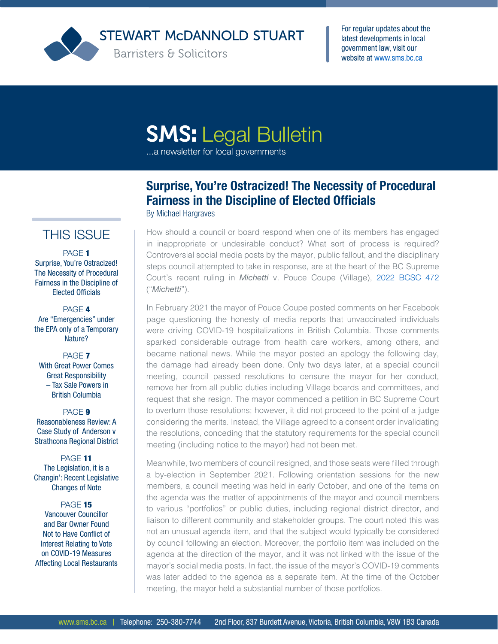

STEWART MCDANNOLD STUART

**Barristers & Solicitors** 

For regular updates about the latest developments in local government law, visit our website at [www.sms.bc.ca](http://www.sms.bc.ca)

# **SMS: Legal Bulletin**

...a newsletter for local governments

## **Surprise, You're Ostracized! The Necessity of Procedural Fairness in the Discipline of Elected Officials** By Michael Hargraves

THIS ISSUE

PAGE 1 Surprise, You're Ostracized! The Necessity of Procedural Fairness in the Discipline of Elected Officials

PAGE 4 Are "Emergencies" under the EPA only of a Temporary Nature?

PAGE<sub>7</sub> With Great Power Comes Great Responsibility – Tax Sale Powers in British Columbia

PAGE 9 Reasonableness Review: A Case Study of Anderson v Strathcona Regional District

PAGE 11 The Legislation, it is a Changin': Recent Legislative Changes of Note

PAGE 15 Vancouver Councillor and Bar Owner Found Not to Have Conflict of Interest Relating to Vote on COVID-19 Measures Affecting Local Restaurants How should a council or board respond when one of its members has engaged in inappropriate or undesirable conduct? What sort of process is required? Controversial social media posts by the mayor, public fallout, and the disciplinary steps council attempted to take in response, are at the heart of the BC Supreme Court's recent ruling in *Michetti* v. Pouce Coupe (Village), [2022 BCSC 472](https://www.bccourts.ca/jdb-txt/sc/22/04/2022BCSC0472.htm) ("*Michetti*").

In February 2021 the mayor of Pouce Coupe posted comments on her Facebook page questioning the honesty of media reports that unvaccinated individuals were driving COVID-19 hospitalizations in British Columbia. Those comments sparked considerable outrage from health care workers, among others, and became national news. While the mayor posted an apology the following day, the damage had already been done. Only two days later, at a special council meeting, council passed resolutions to censure the mayor for her conduct, remove her from all public duties including Village boards and committees, and request that she resign. The mayor commenced a petition in BC Supreme Court to overturn those resolutions; however, it did not proceed to the point of a judge considering the merits. Instead, the Village agreed to a consent order invalidating the resolutions, conceding that the statutory requirements for the special council meeting (including notice to the mayor) had not been met.

Meanwhile, two members of council resigned, and those seats were filled through a by-election in September 2021. Following orientation sessions for the new members, a council meeting was held in early October, and one of the items on the agenda was the matter of appointments of the mayor and council members to various "portfolios" or public duties, including regional district director, and liaison to different community and stakeholder groups. The court noted this was not an unusual agenda item, and that the subject would typically be considered by council following an election. Moreover, the portfolio item was included on the agenda at the direction of the mayor, and it was not linked with the issue of the mayor's social media posts. In fact, the issue of the mayor's COVID-19 comments was later added to the agenda as a separate item. At the time of the October meeting, the mayor held a substantial number of those portfolios.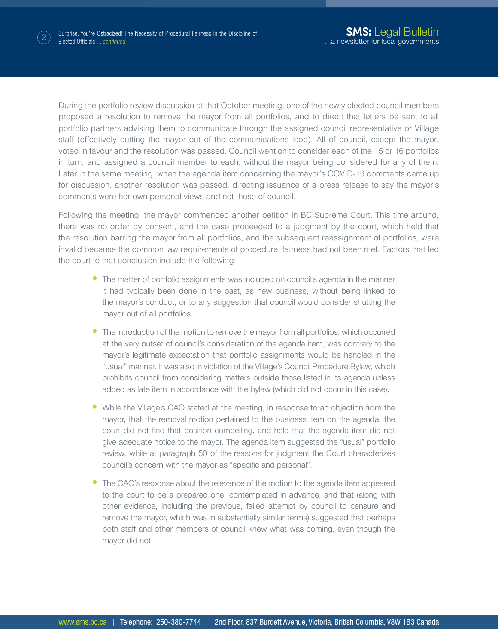

During the portfolio review discussion at that October meeting, one of the newly elected council members proposed a resolution to remove the mayor from all portfolios, and to direct that letters be sent to all portfolio partners advising them to communicate through the assigned council representative or Village staff (effectively cutting the mayor out of the communications loop). All of council, except the mayor, voted in favour and the resolution was passed. Council went on to consider each of the 15 or 16 portfolios in turn, and assigned a council member to each, without the mayor being considered for any of them. Later in the same meeting, when the agenda item concerning the mayor's COVID-19 comments came up for discussion, another resolution was passed, directing issuance of a press release to say the mayor's comments were her own personal views and not those of council.

Following the meeting, the mayor commenced another petition in BC Supreme Court. This time around, there was no order by consent, and the case proceeded to a judgment by the court, which held that the resolution barring the mayor from all portfolios, and the subsequent reassignment of portfolios, were invalid because the common law requirements of procedural fairness had not been met. Factors that led the court to that conclusion include the following:

- **•** The matter of portfolio assignments was included on council's agenda in the manner it had typically been done in the past, as new business, without being linked to the mayor's conduct, or to any suggestion that council would consider shutting the mayor out of all portfolios.
- **•** The introduction of the motion to remove the mayor from all portfolios, which occurred at the very outset of council's consideration of the agenda item, was contrary to the mayor's legitimate expectation that portfolio assignments would be handled in the "usual" manner. It was also in violation of the Village's Council Procedure Bylaw, which prohibits council from considering matters outside those listed in its agenda unless added as late item in accordance with the bylaw (which did not occur in this case).
- **•** While the Village's CAO stated at the meeting, in response to an objection from the mayor, that the removal motion pertained to the business item on the agenda, the court did not find that position compelling, and held that the agenda item did not give adequate notice to the mayor. The agenda item suggested the "usual" portfolio review, while at paragraph 50 of the reasons for judgment the Court characterizes council's concern with the mayor as "specific and personal".
- **•** The CAO's response about the relevance of the motion to the agenda item appeared to the court to be a prepared one, contemplated in advance, and that (along with other evidence, including the previous, failed attempt by council to censure and remove the mayor, which was in substantially similar terms) suggested that perhaps both staff and other members of council knew what was coming, even though the mayor did not.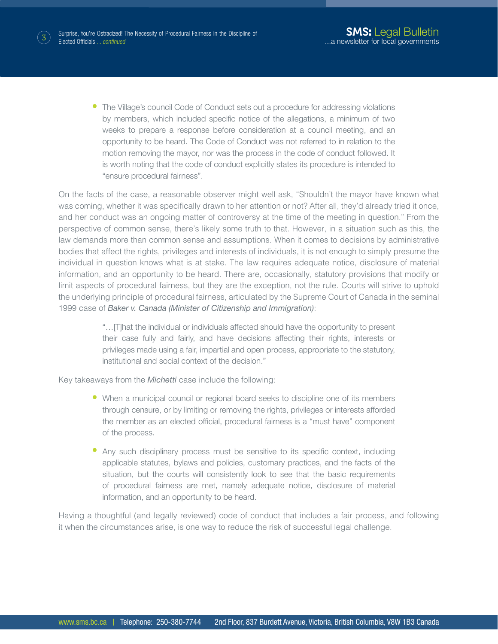

**•** The Village's council Code of Conduct sets out a procedure for addressing violations by members, which included specific notice of the allegations, a minimum of two weeks to prepare a response before consideration at a council meeting, and an opportunity to be heard. The Code of Conduct was not referred to in relation to the motion removing the mayor, nor was the process in the code of conduct followed. It is worth noting that the code of conduct explicitly states its procedure is intended to "ensure procedural fairness".

On the facts of the case, a reasonable observer might well ask, "Shouldn't the mayor have known what was coming, whether it was specifically drawn to her attention or not? After all, they'd already tried it once, and her conduct was an ongoing matter of controversy at the time of the meeting in question." From the perspective of common sense, there's likely some truth to that. However, in a situation such as this, the law demands more than common sense and assumptions. When it comes to decisions by administrative bodies that affect the rights, privileges and interests of individuals, it is not enough to simply presume the individual in question knows what is at stake. The law requires adequate notice, disclosure of material information, and an opportunity to be heard. There are, occasionally, statutory provisions that modify or limit aspects of procedural fairness, but they are the exception, not the rule. Courts will strive to uphold the underlying principle of procedural fairness, articulated by the Supreme Court of Canada in the seminal 1999 case of *Baker v. Canada (Minister of Citizenship and Immigration)*:

> "…[T]hat the individual or individuals affected should have the opportunity to present their case fully and fairly, and have decisions affecting their rights, interests or privileges made using a fair, impartial and open process, appropriate to the statutory, institutional and social context of the decision."

Key takeaways from the *Michetti* case include the following:

- **•** When a municipal council or regional board seeks to discipline one of its members through censure, or by limiting or removing the rights, privileges or interests afforded the member as an elected official, procedural fairness is a "must have" component of the process.
- Any such disciplinary process must be sensitive to its specific context, including applicable statutes, bylaws and policies, customary practices, and the facts of the situation, but the courts will consistently look to see that the basic requirements of procedural fairness are met, namely adequate notice, disclosure of material information, and an opportunity to be heard.

Having a thoughtful (and legally reviewed) code of conduct that includes a fair process, and following it when the circumstances arise, is one way to reduce the risk of successful legal challenge.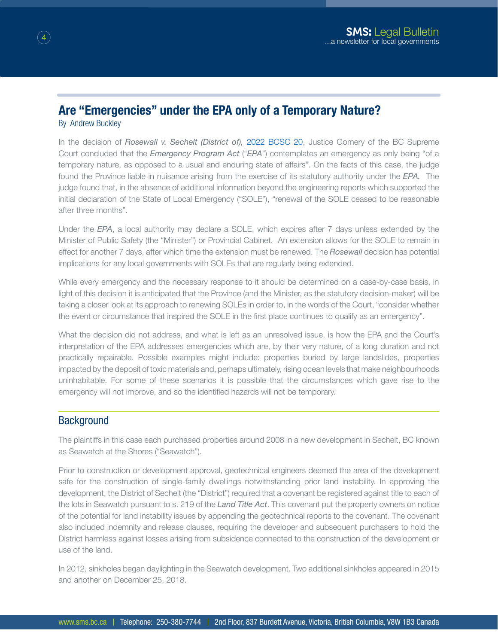# **Are "Emergencies" under the EPA only of a Temporary Nature?**

By Andrew Buckley

In the decision of *Rosewall v. Sechelt (District of),* [2022 BCSC 20](https://canlii.ca/t/jlnnb), Justice Gomery of the BC Supreme Court concluded that the *Emergency Program Act* ("*EPA*") contemplates an emergency as only being "of a temporary nature, as opposed to a usual and enduring state of affairs". On the facts of this case, the judge found the Province liable in nuisance arising from the exercise of its statutory authority under the *EPA.* The judge found that, in the absence of additional information beyond the engineering reports which supported the initial declaration of the State of Local Emergency ("SOLE"), "renewal of the SOLE ceased to be reasonable after three months".

Under the *EPA*, a local authority may declare a SOLE, which expires after 7 days unless extended by the Minister of Public Safety (the "Minister") or Provincial Cabinet. An extension allows for the SOLE to remain in effect for another 7 days, after which time the extension must be renewed. The *Rosewall* decision has potential implications for any local governments with SOLEs that are regularly being extended.

While every emergency and the necessary response to it should be determined on a case-by-case basis, in light of this decision it is anticipated that the Province (and the Minister, as the statutory decision-maker) will be taking a closer look at its approach to renewing SOLEs in order to, in the words of the Court, "consider whether the event or circumstance that inspired the SOLE in the first place continues to qualify as an emergency".

What the decision did not address, and what is left as an unresolved issue, is how the EPA and the Court's interpretation of the EPA addresses emergencies which are, by their very nature, of a long duration and not practically repairable. Possible examples might include: properties buried by large landslides, properties impacted by the deposit of toxic materials and, perhaps ultimately, rising ocean levels that make neighbourhoods uninhabitable. For some of these scenarios it is possible that the circumstances which gave rise to the emergency will not improve, and so the identified hazards will not be temporary.

#### **Background**

The plaintiffs in this case each purchased properties around 2008 in a new development in Sechelt, BC known as Seawatch at the Shores ("Seawatch").

Prior to construction or development approval, geotechnical engineers deemed the area of the development safe for the construction of single-family dwellings notwithstanding prior land instability. In approving the development, the District of Sechelt (the "District") required that a covenant be registered against title to each of the lots in Seawatch pursuant to s. 219 of the *Land Title Act*. This covenant put the property owners on notice of the potential for land instability issues by appending the geotechnical reports to the covenant. The covenant also included indemnity and release clauses, requiring the developer and subsequent purchasers to hold the District harmless against losses arising from subsidence connected to the construction of the development or use of the land.

In 2012, sinkholes began daylighting in the Seawatch development. Two additional sinkholes appeared in 2015 and another on December 25, 2018.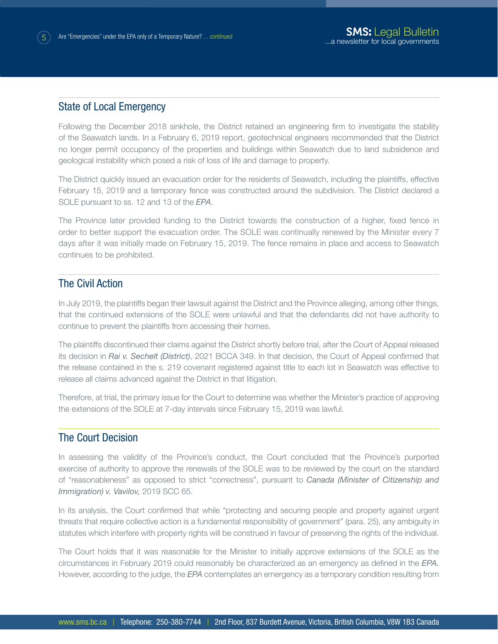#### State of Local Emergency

Following the December 2018 sinkhole, the District retained an engineering firm to investigate the stability of the Seawatch lands. In a February 6, 2019 report, geotechnical engineers recommended that the District no longer permit occupancy of the properties and buildings within Seawatch due to land subsidence and geological instability which posed a risk of loss of life and damage to property.

The District quickly issued an evacuation order for the residents of Seawatch, including the plaintiffs, effective February 15, 2019 and a temporary fence was constructed around the subdivision. The District declared a SOLE pursuant to ss. 12 and 13 of the *EPA*.

The Province later provided funding to the District towards the construction of a higher, fixed fence in order to better support the evacuation order. The SOLE was continually renewed by the Minister every 7 days after it was initially made on February 15, 2019. The fence remains in place and access to Seawatch continues to be prohibited.

## The Civil Action

In July 2019, the plaintiffs began their lawsuit against the District and the Province alleging, among other things, that the continued extensions of the SOLE were unlawful and that the defendants did not have authority to continue to prevent the plaintiffs from accessing their homes.

The plaintiffs discontinued their claims against the District shortly before trial, after the Court of Appeal released its decision in *Rai v. Sechelt (District)*, 2021 BCCA 349. In that decision, the Court of Appeal confirmed that the release contained in the s. 219 covenant registered against title to each lot in Seawatch was effective to release all claims advanced against the District in that litigation.

Therefore, at trial, the primary issue for the Court to determine was whether the Minister's practice of approving the extensions of the SOLE at 7-day intervals since February 15, 2019 was lawful.

## The Court Decision

In assessing the validity of the Province's conduct, the Court concluded that the Province's purported exercise of authority to approve the renewals of the SOLE was to be reviewed by the court on the standard of "reasonableness" as opposed to strict "correctness", pursuant to *Canada (Minister of Citizenship and Immigration) v. Vavilov,* 2019 SCC 65.

In its analysis, the Court confirmed that while "protecting and securing people and property against urgent threats that require collective action is a fundamental responsibility of government" (para. 25), any ambiguity in statutes which interfere with property rights will be construed in favour of preserving the rights of the individual.

The Court holds that it was reasonable for the Minister to initially approve extensions of the SOLE as the circumstances in February 2019 could reasonably be characterized as an emergency as defined in the *EPA.*  However, according to the judge, the *EPA* contemplates an emergency as a temporary condition resulting from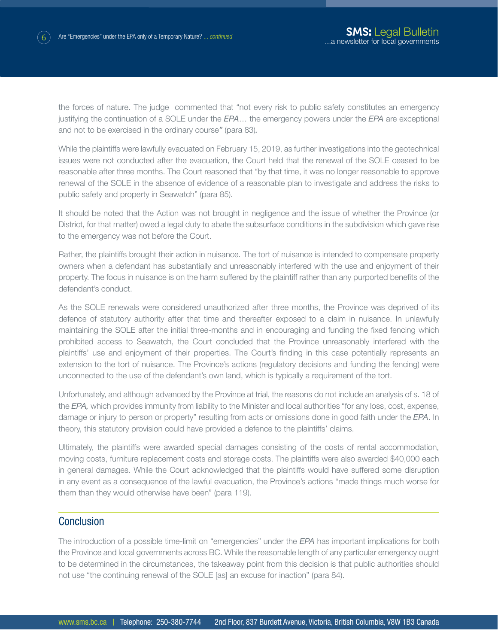the forces of nature. The judge commented that "not every risk to public safety constitutes an emergency justifying the continuation of a SOLE under the *EPA*… the emergency powers under the *EPA* are exceptional and not to be exercised in the ordinary course*"* (para 83)*.*

While the plaintiffs were lawfully evacuated on February 15, 2019, as further investigations into the geotechnical issues were not conducted after the evacuation, the Court held that the renewal of the SOLE ceased to be reasonable after three months. The Court reasoned that "by that time, it was no longer reasonable to approve renewal of the SOLE in the absence of evidence of a reasonable plan to investigate and address the risks to public safety and property in Seawatch" (para 85).

It should be noted that the Action was not brought in negligence and the issue of whether the Province (or District, for that matter) owed a legal duty to abate the subsurface conditions in the subdivision which gave rise to the emergency was not before the Court.

Rather, the plaintiffs brought their action in nuisance. The tort of nuisance is intended to compensate property owners when a defendant has substantially and unreasonably interfered with the use and enjoyment of their property. The focus in nuisance is on the harm suffered by the plaintiff rather than any purported benefits of the defendant's conduct.

As the SOLE renewals were considered unauthorized after three months, the Province was deprived of its defence of statutory authority after that time and thereafter exposed to a claim in nuisance. In unlawfully maintaining the SOLE after the initial three-months and in encouraging and funding the fixed fencing which prohibited access to Seawatch, the Court concluded that the Province unreasonably interfered with the plaintiffs' use and enjoyment of their properties. The Court's finding in this case potentially represents an extension to the tort of nuisance. The Province's actions (regulatory decisions and funding the fencing) were unconnected to the use of the defendant's own land, which is typically a requirement of the tort.

Unfortunately, and although advanced by the Province at trial, the reasons do not include an analysis of s. 18 of the *EPA,* which provides immunity from liability to the Minister and local authorities "for any loss, cost, expense, damage or injury to person or property" resulting from acts or omissions done in good faith under the *EPA*. In theory, this statutory provision could have provided a defence to the plaintiffs' claims.

Ultimately, the plaintiffs were awarded special damages consisting of the costs of rental accommodation, moving costs, furniture replacement costs and storage costs. The plaintiffs were also awarded \$40,000 each in general damages. While the Court acknowledged that the plaintiffs would have suffered some disruption in any event as a consequence of the lawful evacuation, the Province's actions "made things much worse for them than they would otherwise have been" (para 119).

#### **Conclusion**

The introduction of a possible time-limit on "emergencies" under the *EPA* has important implications for both the Province and local governments across BC. While the reasonable length of any particular emergency ought to be determined in the circumstances, the takeaway point from this decision is that public authorities should not use "the continuing renewal of the SOLE [as] an excuse for inaction" (para 84).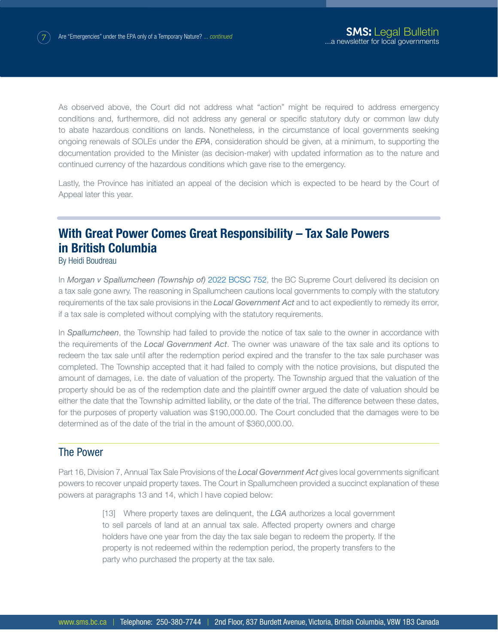As observed above, the Court did not address what "action" might be required to address emergency conditions and, furthermore, did not address any general or specific statutory duty or common law duty to abate hazardous conditions on lands. Nonetheless, in the circumstance of local governments seeking ongoing renewals of SOLEs under the *EPA*, consideration should be given, at a minimum, to supporting the documentation provided to the Minister (as decision-maker) with updated information as to the nature and continued currency of the hazardous conditions which gave rise to the emergency.

Lastly, the Province has initiated an appeal of the decision which is expected to be heard by the Court of Appeal later this year.

# **With Great Power Comes Great Responsibility – Tax Sale Powers in British Columbia**

By Heidi Boudreau

In *Morgan v Spallumcheen (Township of)* [2022 BCSC 752](https://www.canlii.org/en/bc/bcsc/doc/2022/2022bcsc752/2022bcsc752.html?autocompleteStr=2022%20BCSC%20752%2C&autocompletePos=1), the BC Supreme Court delivered its decision on a tax sale gone awry. The reasoning in Spallumcheen cautions local governments to comply with the statutory requirements of the tax sale provisions in the *Local Government Act* and to act expediently to remedy its error, if a tax sale is completed without complying with the statutory requirements.

In *Spallumcheen*, the Township had failed to provide the notice of tax sale to the owner in accordance with the requirements of the *Local Government Act*. The owner was unaware of the tax sale and its options to redeem the tax sale until after the redemption period expired and the transfer to the tax sale purchaser was completed. The Township accepted that it had failed to comply with the notice provisions, but disputed the amount of damages, i.e. the date of valuation of the property. The Township argued that the valuation of the property should be as of the redemption date and the plaintiff owner argued the date of valuation should be either the date that the Township admitted liability, or the date of the trial. The difference between these dates, for the purposes of property valuation was \$190,000.00. The Court concluded that the damages were to be determined as of the date of the trial in the amount of \$360,000.00.

#### The Power

Part 16, Division 7, Annual Tax Sale Provisions of the *Local Government Act* gives local governments significant powers to recover unpaid property taxes. The Court in Spallumcheen provided a succinct explanation of these powers at paragraphs 13 and 14, which I have copied below:

> [13] Where property taxes are delinquent, the *LGA* authorizes a local government to sell parcels of land at an annual tax sale. Affected property owners and charge holders have one year from the day the tax sale began to redeem the property. If the property is not redeemed within the redemption period, the property transfers to the party who purchased the property at the tax sale.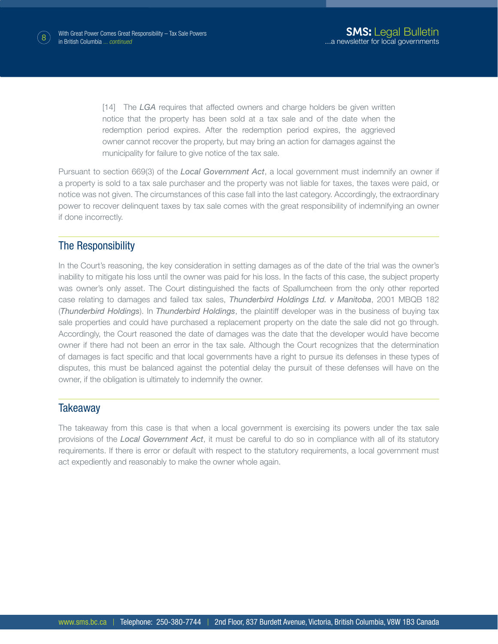

[14] The LGA requires that affected owners and charge holders be given written notice that the property has been sold at a tax sale and of the date when the redemption period expires. After the redemption period expires, the aggrieved owner cannot recover the property, but may bring an action for damages against the municipality for failure to give notice of the tax sale.

Pursuant to section 669(3) of the *Local Government Act*, a local government must indemnify an owner if a property is sold to a tax sale purchaser and the property was not liable for taxes, the taxes were paid, or notice was not given. The circumstances of this case fall into the last category. Accordingly, the extraordinary power to recover delinquent taxes by tax sale comes with the great responsibility of indemnifying an owner if done incorrectly.

## The Responsibility

In the Court's reasoning, the key consideration in setting damages as of the date of the trial was the owner's inability to mitigate his loss until the owner was paid for his loss. In the facts of this case, the subject property was owner's only asset. The Court distinguished the facts of Spallumcheen from the only other reported case relating to damages and failed tax sales, *Thunderbird Holdings Ltd. v Manitoba*, 2001 MBQB 182 (*Thunderbird Holdings*). In *Thunderbird Holdings*, the plaintiff developer was in the business of buying tax sale properties and could have purchased a replacement property on the date the sale did not go through. Accordingly, the Court reasoned the date of damages was the date that the developer would have become owner if there had not been an error in the tax sale. Although the Court recognizes that the determination of damages is fact specific and that local governments have a right to pursue its defenses in these types of disputes, this must be balanced against the potential delay the pursuit of these defenses will have on the owner, if the obligation is ultimately to indemnify the owner.

#### Takeaway

The takeaway from this case is that when a local government is exercising its powers under the tax sale provisions of the *Local Government Act*, it must be careful to do so in compliance with all of its statutory requirements. If there is error or default with respect to the statutory requirements, a local government must act expediently and reasonably to make the owner whole again.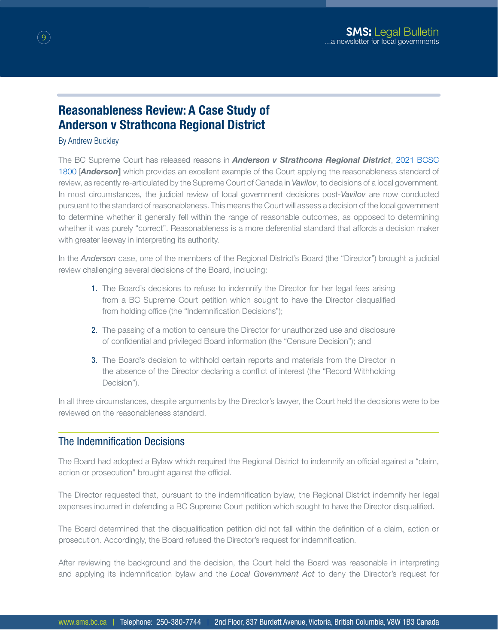# **Reasonableness Review: A Case Study of Anderson v Strathcona Regional District**

#### By Andrew Buckley

The BC Supreme Court has released reasons in *Anderson v Strathcona Regional District*, [2021 BCSC](https://canlii.ca/t/jj1m9) [1800](https://canlii.ca/t/jj1m9) [*Anderson***]** which provides an excellent example of the Court applying the reasonableness standard of review, as recently re-articulated by the Supreme Court of Canada in *Vavilov*, to decisions of a local government. In most circumstances, the judicial review of local government decisions post-*Vavilov* are now conducted pursuant to the standard of reasonableness. This means the Court will assess a decision of the local government to determine whether it generally fell within the range of reasonable outcomes, as opposed to determining whether it was purely "correct". Reasonableness is a more deferential standard that affords a decision maker with greater leeway in interpreting its authority.

In the *Anderson* case, one of the members of the Regional District's Board (the "Director") brought a judicial review challenging several decisions of the Board, including:

- 1. The Board's decisions to refuse to indemnify the Director for her legal fees arising from a BC Supreme Court petition which sought to have the Director disqualified from holding office (the "Indemnification Decisions");
- 2. The passing of a motion to censure the Director for unauthorized use and disclosure of confidential and privileged Board information (the "Censure Decision"); and
- 3. The Board's decision to withhold certain reports and materials from the Director in the absence of the Director declaring a conflict of interest (the "Record Withholding Decision").

In all three circumstances, despite arguments by the Director's lawyer, the Court held the decisions were to be reviewed on the reasonableness standard.

## The Indemnification Decisions

The Board had adopted a Bylaw which required the Regional District to indemnify an official against a "claim, action or prosecution" brought against the official.

The Director requested that, pursuant to the indemnification bylaw, the Regional District indemnify her legal expenses incurred in defending a BC Supreme Court petition which sought to have the Director disqualified.

The Board determined that the disqualification petition did not fall within the definition of a claim, action or prosecution. Accordingly, the Board refused the Director's request for indemnification.

After reviewing the background and the decision, the Court held the Board was reasonable in interpreting and applying its indemnification bylaw and the *Local Government Act* to deny the Director's request for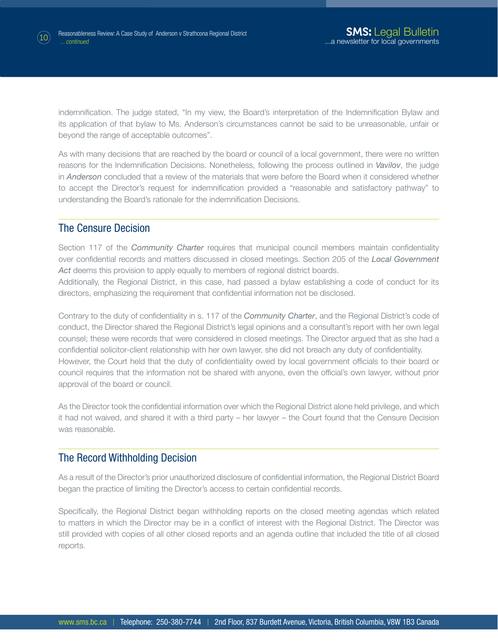

indemnification. The judge stated, "In my view, the Board's interpretation of the Indemnification Bylaw and its application of that bylaw to Ms. Anderson's circumstances cannot be said to be unreasonable, unfair or beyond the range of acceptable outcomes".

As with many decisions that are reached by the board or council of a local government, there were no written reasons for the Indemnification Decisions. Nonetheless, following the process outlined in *Vavilov*, the judge in *Anderson* concluded that a review of the materials that were before the Board when it considered whether to accept the Director's request for indemnification provided a "reasonable and satisfactory pathway" to understanding the Board's rationale for the indemnification Decisions.

## The Censure Decision

Section 117 of the *Community Charter* requires that municipal council members maintain confidentiality over confidential records and matters discussed in closed meetings. Section 205 of the *Local Government*  Act deems this provision to apply equally to members of regional district boards.

Additionally, the Regional District, in this case, had passed a bylaw establishing a code of conduct for its directors, emphasizing the requirement that confidential information not be disclosed.

Contrary to the duty of confidentiality in s. 117 of the *Community Charter*, and the Regional District's code of conduct, the Director shared the Regional District's legal opinions and a consultant's report with her own legal counsel; these were records that were considered in closed meetings. The Director argued that as she had a confidential solicitor-client relationship with her own lawyer, she did not breach any duty of confidentiality. However, the Court held that the duty of confidentiality owed by local government officials to their board or council requires that the information not be shared with anyone, even the official's own lawyer, without prior approval of the board or council.

As the Director took the confidential information over which the Regional District alone held privilege, and which it had not waived, and shared it with a third party – her lawyer – the Court found that the Censure Decision was reasonable.

#### The Record Withholding Decision

As a result of the Director's prior unauthorized disclosure of confidential information, the Regional District Board began the practice of limiting the Director's access to certain confidential records.

Specifically, the Regional District began withholding reports on the closed meeting agendas which related to matters in which the Director may be in a conflict of interest with the Regional District. The Director was still provided with copies of all other closed reports and an agenda outline that included the title of all closed reports.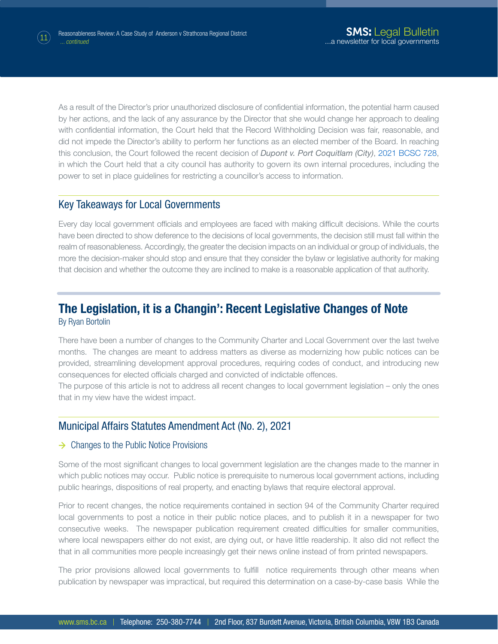

As a result of the Director's prior unauthorized disclosure of confidential information, the potential harm caused by her actions, and the lack of any assurance by the Director that she would change her approach to dealing with confidential information, the Court held that the Record Withholding Decision was fair, reasonable, and did not impede the Director's ability to perform her functions as an elected member of the Board. In reaching this conclusion, the Court followed the recent decision of *Dupont v. Port Coquitlam (City)*, [2021 BCSC 728](https://www.canlii.org/en/bc/bcsc/doc/2021/2021bcsc728/2021bcsc728.html), in which the Court held that a city council has authority to govern its own internal procedures, including the power to set in place guidelines for restricting a councillor's access to information.

#### Key Takeaways for Local Governments

Every day local government officials and employees are faced with making difficult decisions. While the courts have been directed to show deference to the decisions of local governments, the decision still must fall within the realm of reasonableness. Accordingly, the greater the decision impacts on an individual or group of individuals, the more the decision-maker should stop and ensure that they consider the bylaw or legislative authority for making that decision and whether the outcome they are inclined to make is a reasonable application of that authority.

## **The Legislation, it is a Changin': Recent Legislative Changes of Note** By Ryan Bortolin

There have been a number of changes to the Community Charter and Local Government over the last twelve months. The changes are meant to address matters as diverse as modernizing how public notices can be provided, streamlining development approval procedures, requiring codes of conduct, and introducing new consequences for elected officials charged and convicted of indictable offences.

The purpose of this article is not to address all recent changes to local government legislation – only the ones that in my view have the widest impact.

## Municipal Affairs Statutes Amendment Act (No. 2), 2021

#### $\rightarrow$  Changes to the Public Notice Provisions

Some of the most significant changes to local government legislation are the changes made to the manner in which public notices may occur. Public notice is prerequisite to numerous local government actions, including public hearings, dispositions of real property, and enacting bylaws that require electoral approval.

Prior to recent changes, the notice requirements contained in section 94 of the Community Charter required local governments to post a notice in their public notice places, and to publish it in a newspaper for two consecutive weeks. The newspaper publication requirement created difficulties for smaller communities, where local newspapers either do not exist, are dying out, or have little readership. It also did not reflect the that in all communities more people increasingly get their news online instead of from printed newspapers.

The prior provisions allowed local governments to fulfill notice requirements through other means when publication by newspaper was impractical, but required this determination on a case-by-case basis While the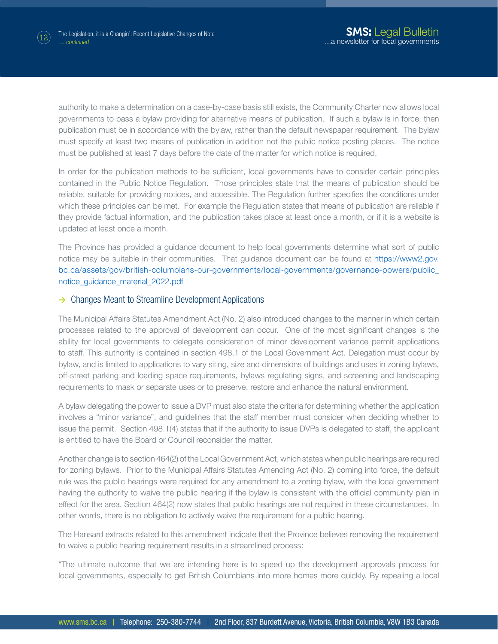

authority to make a determination on a case-by-case basis still exists, the Community Charter now allows local governments to pass a bylaw providing for alternative means of publication. If such a bylaw is in force, then publication must be in accordance with the bylaw, rather than the default newspaper requirement. The bylaw must specify at least two means of publication in addition not the public notice posting places. The notice must be published at least 7 days before the date of the matter for which notice is required,

In order for the publication methods to be sufficient, local governments have to consider certain principles contained in the Public Notice Regulation. Those principles state that the means of publication should be reliable, suitable for providing notices, and accessible. The Regulation further specifies the conditions under which these principles can be met. For example the Regulation states that means of publication are reliable if they provide factual information, and the publication takes place at least once a month, or if it is a website is updated at least once a month.

The Province has provided a guidance document to help local governments determine what sort of public notice may be suitable in their communities. That guidance document can be found at [https://www2.gov.](https://www2.gov.bc.ca/assets/gov/british-columbians-our-governments/local-governments/governance-powers/public_notice_guidance_material_2022.pdf) [bc.ca/assets/gov/british-columbians-our-governments/local-governments/governance-powers/public\\_](https://www2.gov.bc.ca/assets/gov/british-columbians-our-governments/local-governments/governance-powers/public_notice_guidance_material_2022.pdf) [notice\\_guidance\\_material\\_2022.pdf](https://www2.gov.bc.ca/assets/gov/british-columbians-our-governments/local-governments/governance-powers/public_notice_guidance_material_2022.pdf)

#### $\rightarrow$  Changes Meant to Streamline Development Applications

The Municipal Affairs Statutes Amendment Act (No. 2) also introduced changes to the manner in which certain processes related to the approval of development can occur. One of the most significant changes is the ability for local governments to delegate consideration of minor development variance permit applications to staff. This authority is contained in section 498.1 of the Local Government Act. Delegation must occur by bylaw, and is limited to applications to vary siting, size and dimensions of buildings and uses in zoning bylaws, off-street parking and loading space requirements, bylaws regulating signs, and screening and landscaping requirements to mask or separate uses or to preserve, restore and enhance the natural environment.

A bylaw delegating the power to issue a DVP must also state the criteria for determining whether the application involves a "minor variance", and guidelines that the staff member must consider when deciding whether to issue the permit. Section 498.1(4) states that if the authority to issue DVPs is delegated to staff, the applicant is entitled to have the Board or Council reconsider the matter.

Another change is to section 464(2) of the Local Government Act, which states when public hearings are required for zoning bylaws. Prior to the Municipal Affairs Statutes Amending Act (No. 2) coming into force, the default rule was the public hearings were required for any amendment to a zoning bylaw, with the local government having the authority to waive the public hearing if the bylaw is consistent with the official community plan in effect for the area. Section 464(2) now states that public hearings are not required in these circumstances. In other words, there is no obligation to actively waive the requirement for a public hearing.

The Hansard extracts related to this amendment indicate that the Province believes removing the requirement to waive a public hearing requirement results in a streamlined process:

"The ultimate outcome that we are intending here is to speed up the development approvals process for local governments, especially to get British Columbians into more homes more quickly. By repealing a local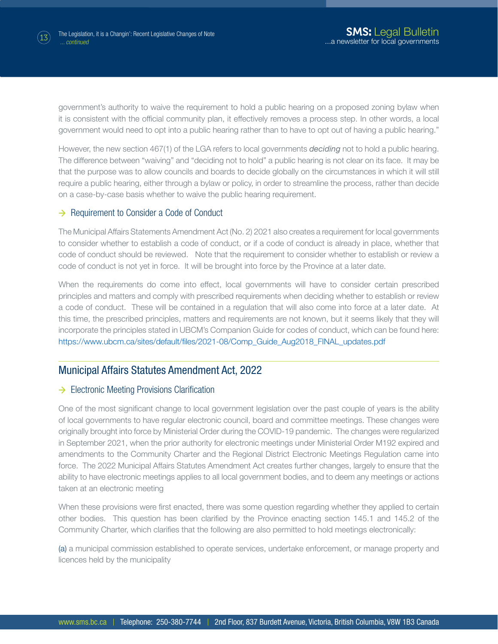

government's authority to waive the requirement to hold a public hearing on a proposed zoning bylaw when it is consistent with the official community plan, it effectively removes a process step. In other words, a local government would need to opt into a public hearing rather than to have to opt out of having a public hearing."

However, the new section 467(1) of the LGA refers to local governments *deciding* not to hold a public hearing. The difference between "waiving" and "deciding not to hold" a public hearing is not clear on its face. It may be that the purpose was to allow councils and boards to decide globally on the circumstances in which it will still require a public hearing, either through a bylaw or policy, in order to streamline the process, rather than decide on a case-by-case basis whether to waive the public hearing requirement.

#### **→ Requirement to Consider a Code of Conduct**

The Municipal Affairs Statements Amendment Act (No. 2) 2021 also creates a requirement for local governments to consider whether to establish a code of conduct, or if a code of conduct is already in place, whether that code of conduct should be reviewed. Note that the requirement to consider whether to establish or review a code of conduct is not yet in force. It will be brought into force by the Province at a later date.

When the requirements do come into effect, local governments will have to consider certain prescribed principles and matters and comply with prescribed requirements when deciding whether to establish or review a code of conduct. These will be contained in a regulation that will also come into force at a later date. At this time, the prescribed principles, matters and requirements are not known, but it seems likely that they will incorporate the principles stated in UBCM's Companion Guide for codes of conduct, which can be found here: [https://www.ubcm.ca/sites/default/files/2021-08/Comp\\_Guide\\_Aug2018\\_FINAL\\_updates.pdf](https://www.ubcm.ca/sites/default/files/2021-08/Comp_Guide_Aug2018_FINAL_updates.pdf)

## Municipal Affairs Statutes Amendment Act, 2022

#### $\rightarrow$  Electronic Meeting Provisions Clarification

One of the most significant change to local government legislation over the past couple of years is the ability of local governments to have regular electronic council, board and committee meetings. These changes were originally brought into force by Ministerial Order during the COVID-19 pandemic. The changes were regularized in September 2021, when the prior authority for electronic meetings under Ministerial Order M192 expired and amendments to the Community Charter and the Regional District Electronic Meetings Regulation came into force. The 2022 Municipal Affairs Statutes Amendment Act creates further changes, largely to ensure that the ability to have electronic meetings applies to all local government bodies, and to deem any meetings or actions taken at an electronic meeting

When these provisions were first enacted, there was some question regarding whether they applied to certain other bodies. This question has been clarified by the Province enacting section 145.1 and 145.2 of the Community Charter, which clarifies that the following are also permitted to hold meetings electronically:

(a) a municipal commission established to operate services, undertake enforcement, or manage property and licences held by the municipality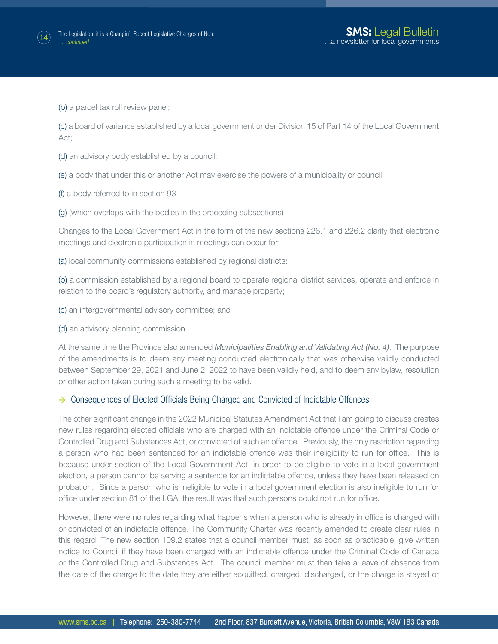

(b) a parcel tax roll review panel;

(c) a board of variance established by a local government under Division 15 of Part 14 of the Local Government Act;

(d) an advisory body established by a council;

(e) a body that under this or another Act may exercise the powers of a municipality or council;

- (f) a body referred to in section 93
- (g) (which overlaps with the bodies in the preceding subsections)

Changes to the Local Government Act in the form of the new sections 226.1 and 226.2 clarify that electronic meetings and electronic participation in meetings can occur for:

(a) local community commissions established by regional districts;

(b) a commission established by a regional board to operate regional district services, operate and enforce in relation to the board's regulatory authority, and manage property;

(c) an intergovernmental advisory committee; and

(d) an advisory planning commission.

At the same time the Province also amended *Municipalities Enabling and Validating Act (No. 4)*. The purpose of the amendments is to deem any meeting conducted electronically that was otherwise validly conducted between September 29, 2021 and June 2, 2022 to have been validly held, and to deem any bylaw, resolution or other action taken during such a meeting to be valid.

#### → Consequences of Elected Officials Being Charged and Convicted of Indictable Offences

The other significant change in the 2022 Municipal Statutes Amendment Act that I am going to discuss creates new rules regarding elected officials who are charged with an indictable offence under the Criminal Code or Controlled Drug and Substances Act, or convicted of such an offence. Previously, the only restriction regarding a person who had been sentenced for an indictable offence was their ineligibility to run for office. This is because under section of the Local Government Act, in order to be eligible to vote in a local government election, a person cannot be serving a sentence for an indictable offence, unless they have been released on probation. Since a person who is ineligible to vote in a local government election is also ineligible to run for office under section 81 of the LGA, the result was that such persons could not run for office.

However, there were no rules regarding what happens when a person who is already in office is charged with or convicted of an indictable offence. The Community Charter was recently amended to create clear rules in this regard. The new section 109.2 states that a council member must, as soon as practicable, give written notice to Council if they have been charged with an indictable offence under the Criminal Code of Canada or the Controlled Drug and Substances Act. The council member must then take a leave of absence from the date of the charge to the date they are either acquitted, charged, discharged, or the charge is stayed or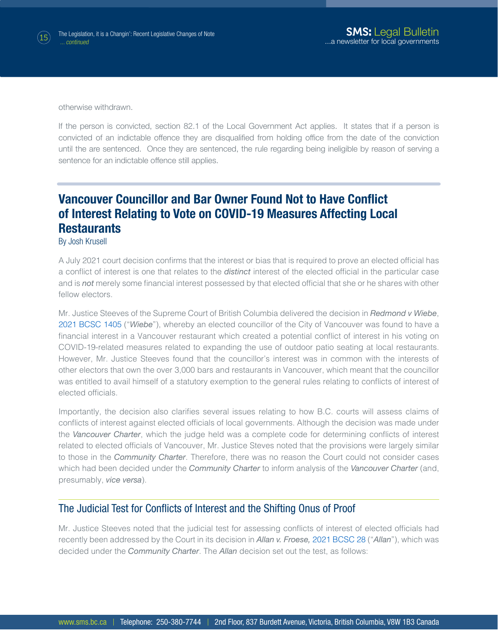

otherwise withdrawn.

If the person is convicted, section 82.1 of the Local Government Act applies. It states that if a person is convicted of an indictable offence they are disqualified from holding office from the date of the conviction until the are sentenced. Once they are sentenced, the rule regarding being ineligible by reason of serving a sentence for an indictable offence still applies.

# **Vancouver Councillor and Bar Owner Found Not to Have Conflict of Interest Relating to Vote on COVID-19 Measures Affecting Local Restaurants**

By Josh Krusell

A July 2021 court decision confirms that the interest or bias that is required to prove an elected official has a conflict of interest is one that relates to the *distinct* interest of the elected official in the particular case and is *not* merely some financial interest possessed by that elected official that she or he shares with other fellow electors.

Mr. Justice Steeves of the Supreme Court of British Columbia delivered the decision in *Redmond v Wiebe*, [2021 BCSC 1405](https://canlii.ca/t/jh1q7) ("*Wiebe*"), whereby an elected councillor of the City of Vancouver was found to have a financial interest in a Vancouver restaurant which created a potential conflict of interest in his voting on COVID-19-related measures related to expanding the use of outdoor patio seating at local restaurants. However, Mr. Justice Steeves found that the councillor's interest was in common with the interests of other electors that own the over 3,000 bars and restaurants in Vancouver, which meant that the councillor was entitled to avail himself of a statutory exemption to the general rules relating to conflicts of interest of elected officials.

Importantly, the decision also clarifies several issues relating to how B.C. courts will assess claims of conflicts of interest against elected officials of local governments. Although the decision was made under the *Vancouver Charter*, which the judge held was a complete code for determining conflicts of interest related to elected officials of Vancouver, Mr. Justice Steves noted that the provisions were largely similar to those in the *Community Charter*. Therefore, there was no reason the Court could not consider cases which had been decided under the *Community Charter* to inform analysis of the *Vancouver Charter* (and, presumably, *vice versa*).

#### The Judicial Test for Conflicts of Interest and the Shifting Onus of Proof

Mr. Justice Steeves noted that the judicial test for assessing conflicts of interest of elected officials had recently been addressed by the Court in its decision in *Allan v. Froese,* [2021 BCSC 28](https://www.canlii.org/en/bc/bcsc/doc/2021/2021bcsc28/2021bcsc28.html) ("*Allan*"), which was decided under the *Community Charter*. The *Allan* decision set out the test, as follows: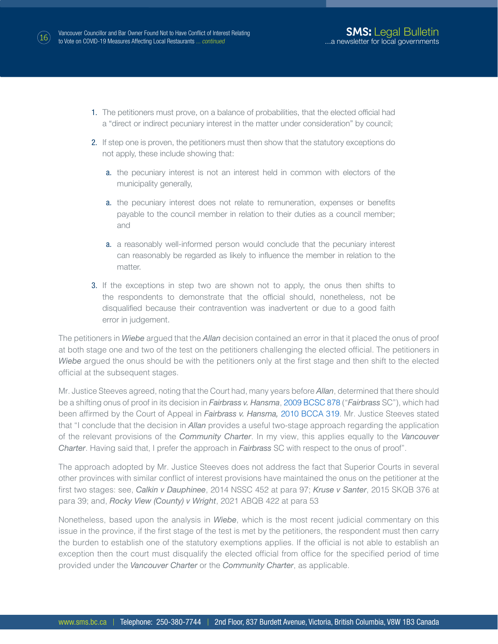

- 1. The petitioners must prove, on a balance of probabilities, that the elected official had a "direct or indirect pecuniary interest in the matter under consideration" by council;
- 2. If step one is proven, the petitioners must then show that the statutory exceptions do not apply, these include showing that:
	- a. the pecuniary interest is not an interest held in common with electors of the municipality generally,
	- a. the pecuniary interest does not relate to remuneration, expenses or benefits payable to the council member in relation to their duties as a council member; and
	- a. a reasonably well-informed person would conclude that the pecuniary interest can reasonably be regarded as likely to influence the member in relation to the matter.
- 3. If the exceptions in step two are shown not to apply, the onus then shifts to the respondents to demonstrate that the official should, nonetheless, not be disqualified because their contravention was inadvertent or due to a good faith error in judgement.

The petitioners in *Wiebe* argued that the *Allan* decision contained an error in that it placed the onus of proof at both stage one and two of the test on the petitioners challenging the elected official. The petitioners in *Wiebe* argued the onus should be with the petitioners only at the first stage and then shift to the elected official at the subsequent stages.

Mr. Justice Steeves agreed, noting that the Court had, many years before *Allan*, determined that there should be a shifting onus of proof in its decision in *Fairbrass v. Hansma*, [2009 BCSC 878](https://www.canlii.org/en/bc/bcsc/doc/2009/2009bcsc878/2009bcsc878.html) ("*Fairbrass* SC"), which had been affirmed by the Court of Appeal in *Fairbrass v. Hansma,* [2010 BCCA 319](https://www.canlii.org/en/bc/bcca/doc/2010/2010bcca319/2010bcca319.html). Mr. Justice Steeves stated that "I conclude that the decision in *Allan* provides a useful two-stage approach regarding the application of the relevant provisions of the *Community Charter*. In my view, this applies equally to the *Vancouver Charter*. Having said that, I prefer the approach in *Fairbrass* SC with respect to the onus of proof".

The approach adopted by Mr. Justice Steeves does not address the fact that Superior Courts in several other provinces with similar conflict of interest provisions have maintained the onus on the petitioner at the first two stages: see, *Calkin v Dauphinee*, 2014 NSSC 452 at para 97; *Kruse v Santer*, 2015 SKQB 376 at para 39; and, *Rocky View (County) v Wright*, 2021 ABQB 422 at para 53

Nonetheless, based upon the analysis in *Wiebe*, which is the most recent judicial commentary on this issue in the province, if the first stage of the test is met by the petitioners, the respondent must then carry the burden to establish one of the statutory exemptions applies. If the official is not able to establish an exception then the court must disqualify the elected official from office for the specified period of time provided under the *Vancouver Charter* or the *Community Charter*, as applicable.